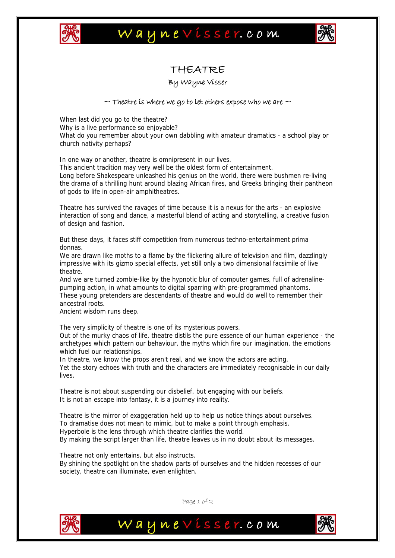

## Waynevisser.com



### THEATRE

#### By Wayne Visser

#### $\sim$  Theatre is where we go to let others expose who we are  $\sim$

When last did you go to the theatre? Why is a live performance so enjoyable? What do you remember about your own dabbling with amateur dramatics - a school play or church nativity perhaps?

In one way or another, theatre is omnipresent in our lives.

This ancient tradition may very well be the oldest form of entertainment. Long before Shakespeare unleashed his genius on the world, there were bushmen re-living the drama of a thrilling hunt around blazing African fires, and Greeks bringing their pantheon

of gods to life in open-air amphitheatres.

Theatre has survived the ravages of time because it is a nexus for the arts - an explosive interaction of song and dance, a masterful blend of acting and storytelling, a creative fusion of design and fashion.

But these days, it faces stiff competition from numerous techno-entertainment prima donnas.

We are drawn like moths to a flame by the flickering allure of television and film, dazzlingly impressive with its gizmo special effects, yet still only a two dimensional facsimile of live theatre.

And we are turned zombie-like by the hypnotic blur of computer games, full of adrenalinepumping action, in what amounts to digital sparring with pre-programmed phantoms. These young pretenders are descendants of theatre and would do well to remember their ancestral roots.

Ancient wisdom runs deep.

The very simplicity of theatre is one of its mysterious powers.

Out of the murky chaos of life, theatre distils the pure essence of our human experience - the archetypes which pattern our behaviour, the myths which fire our imagination, the emotions which fuel our relationships.

In theatre, we know the props aren't real, and we know the actors are acting. Yet the story echoes with truth and the characters are immediately recognisable in our daily lives.

Theatre is not about suspending our disbelief, but engaging with our beliefs. It is not an escape into fantasy, it is a journey into reality.

Theatre is the mirror of exaggeration held up to help us notice things about ourselves. To dramatise does not mean to mimic, but to make a point through emphasis. Hyperbole is the lens through which theatre clarifies the world. By making the script larger than life, theatre leaves us in no doubt about its messages.

Theatre not only entertains, but also instructs.

By shining the spotlight on the shadow parts of ourselves and the hidden recesses of our society, theatre can illuminate, even enlighten.



Page 1 of 2